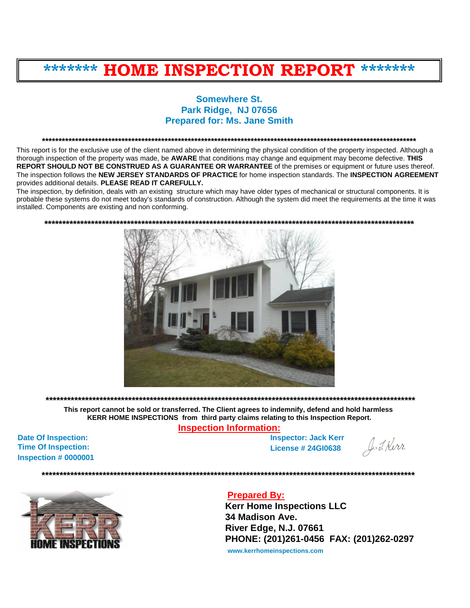# **\*\*\*\*\*\*\* HOME INSPECTION REPORT \*\*\*\*\*\*\***

# **Somewhere St. Park Ridge, NJ 07656 Prepared for: Ms. Jane Smith**

**\*\*\*\*\*\*\*\*\*\*\*\*\*\*\*\*\*\*\*\*\*\*\*\*\*\*\*\*\*\*\*\*\*\*\*\*\*\*\*\*\*\*\*\*\*\*\*\*\*\*\*\*\*\*\*\*\*\*\*\*\*\*\*\*\*\*\*\*\*\*\*\*\*\*\*\*\*\*\*\*\*\*\*\*\*\*\*\*\*\*\*\*\*\*\*\*\*\*\*\*\*\*\*\*\*\*\*\*\*\*\*\*\***

This report is for the exclusive use of the client named above in determining the physical condition of the property inspected. Although a thorough inspection of the property was made, be **AWARE** that conditions may change and equipment may become defective. **THIS REPORT SHOULD NOT BE CONSTRUED AS A GUARANTEE OR WARRANTEE** of the premises or equipment or future uses thereof. The inspection follows the **NEW JERSEY STANDARDS OF PRACTICE** for home inspection standards. The **INSPECTION AGREEMENT** provides additional details. **PLEASE READ IT CAREFULLY.**

The inspection, by definition, deals with an existing structure which may have older types of mechanical or structural components. It is probable these systems do not meet today's standards of construction. Although the system did meet the requirements at the time it was installed. Components are existing and non conforming.





**This report cannot be sold or transferred. The Client agrees to indemnify, defend and hold harmless KERR HOME INSPECTIONS from third party claims relating to this Inspection Report.**

**\*\*\*\*\*\*\*\*\*\*\*\*\*\*\*\*\*\*\*\*\*\*\*\*\*\*\*\*\*\*\*\*\*\*\*\*\*\*\*\*\*\*\*\*\*\*\*\*\*\*\*\*\*\*\*\*\*\*\*\*\*\*\*\*\*\*\*\*\*\*\*\*\*\*\*\*\*\*\*\*\*\*\*\*\*\*\*\*\*\*\*\*\*\*\*\*\*\*\*\*\*\*\*** 

**Inspection Information:**

**Date Of Inspection: Time Of Inspection: Inspection # 0000001** 

**Inspector: Jack Kerr License # 24GI0638**

**\*\*\*\*\*\*\*\*\*\*\*\*\*\*\*\*\*\*\*\*\*\*\*\*\*\*\*\*\*\*\*\*\*\*\*\*\*\*\*\*\*\*\*\*\*\*\*\*\*\*\*\*\*\*\*\*\*\*\*\*\*\*\*\*\*\*\*\*\*\*\*\*\*\*\*\*\*\*\*\*\*\*\*\*\*\*\*\*\*\*\*\*\*\*\*\*\*\*\*\*\*\*\*\***

J. J. Kirr



# **Prepared By:**

**Kerr Home Inspections LLC 34 Madison Ave. River Edge, N.J. 07661 PHONE: (201)261-0456 FAX: (201)262-0297**

**<www.kerrhomeinspections.com>**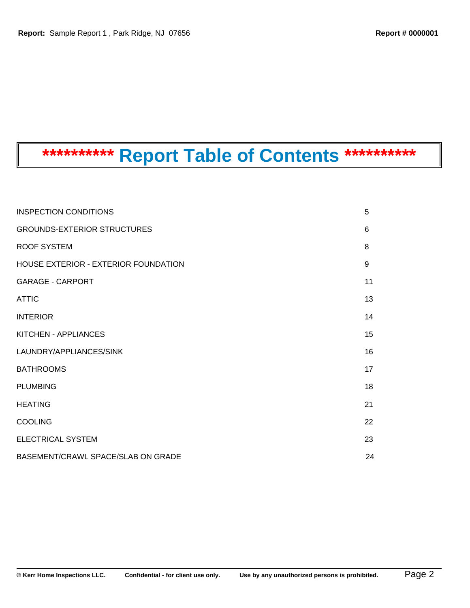# **\*\*\*\*\*\*\*\*\*\* Report Table of Contents \*\*\*\*\*\*\*\*\*\***

| <b>INSPECTION CONDITIONS</b>         | 5  |
|--------------------------------------|----|
| <b>GROUNDS-EXTERIOR STRUCTURES</b>   | 6  |
| ROOF SYSTEM                          | 8  |
| HOUSE EXTERIOR - EXTERIOR FOUNDATION | 9  |
| <b>GARAGE - CARPORT</b>              | 11 |
| <b>ATTIC</b>                         | 13 |
| <b>INTERIOR</b>                      | 14 |
| KITCHEN - APPLIANCES                 | 15 |
| LAUNDRY/APPLIANCES/SINK              | 16 |
| <b>BATHROOMS</b>                     | 17 |
| <b>PLUMBING</b>                      | 18 |
| <b>HEATING</b>                       | 21 |
| <b>COOLING</b>                       | 22 |
| <b>ELECTRICAL SYSTEM</b>             | 23 |
| BASEMENT/CRAWL SPACE/SLAB ON GRADE   | 24 |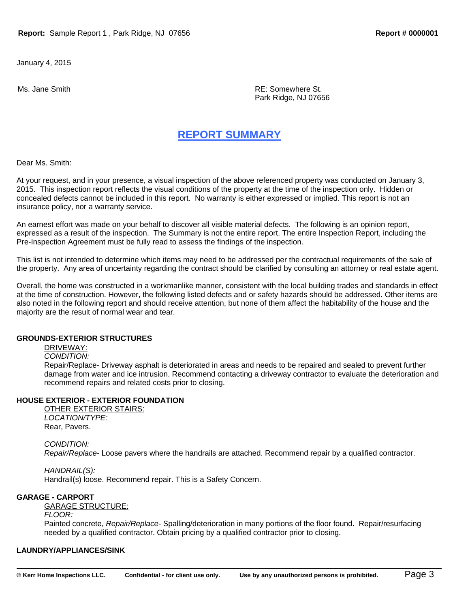January 4, 2015

Ms. Jane Smith **Music According to the Contract of the Contract According Contract According Contract According Contract According Property RE: Somewhere St.** Park Ridge, NJ 07656

# **REPORT SUMMARY**

Dear Ms. Smith:

At your request, and in your presence, a visual inspection of the above referenced property was conducted on January 3, 2015. This inspection report reflects the visual conditions of the property at the time of the inspection only. Hidden or concealed defects cannot be included in this report. No warranty is either expressed or implied. This report is not an insurance policy, nor a warranty service.

An earnest effort was made on your behalf to discover all visible material defects. The following is an opinion report, expressed as a result of the inspection. The Summary is not the entire report. The entire Inspection Report, including the Pre-Inspection Agreement must be fully read to assess the findings of the inspection.

This list is not intended to determine which items may need to be addressed per the contractual requirements of the sale of the property. Any area of uncertainty regarding the contract should be clarified by consulting an attorney or real estate agent.

Overall, the home was constructed in a workmanlike manner, consistent with the local building trades and standards in effect at the time of construction. However, the following listed defects and or safety hazards should be addressed. Other items are also noted in the following report and should receive attention, but none of them affect the habitability of the house and the majority are the result of normal wear and tear.

## **GROUNDS-EXTERIOR STRUCTURES**

DRIVEWAY:

*CONDITION:* 

Repair/Replace- Driveway asphalt is deteriorated in areas and needs to be repaired and sealed to prevent further damage from water and ice intrusion. Recommend contacting a driveway contractor to evaluate the deterioration and recommend repairs and related costs prior to closing.

## **HOUSE EXTERIOR - EXTERIOR FOUNDATION**

OTHER EXTERIOR STAIRS: *LOCATION/TYPE:*  Rear, Pavers.

## *CONDITION:*

*Repair/Replace*- Loose pavers where the handrails are attached. Recommend repair by a qualified contractor.

*HANDRAIL(S):*  Handrail(s) loose. Recommend repair. This is a Safety Concern.

### **GARAGE - CARPORT**

GARAGE STRUCTURE:

## *FLOOR:*

Painted concrete, *Repair/Replace-* Spalling/deterioration in many portions of the floor found. Repair/resurfacing needed by a qualified contractor. Obtain pricing by a qualified contractor prior to closing.

## **LAUNDRY/APPLIANCES/SINK**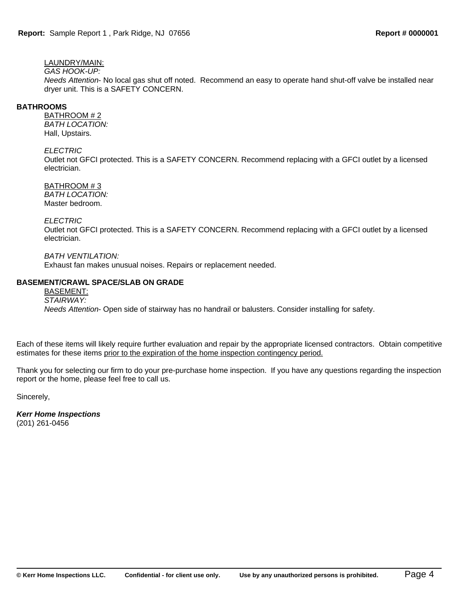# LAUNDRY/MAIN:

# *GAS HOOK-UP:*

*Needs Attention*- No local gas shut off noted. Recommend an easy to operate hand shut-off valve be installed near dryer unit. This is a SAFETY CONCERN.

## **BATHROOMS**

BATHROOM # 2 *BATH LOCATION:*  Hall, Upstairs.

## *ELECTRIC*

Outlet not GFCI protected. This is a SAFETY CONCERN. Recommend replacing with a GFCI outlet by a licensed electrician.

## BATHROOM # 3

*BATH LOCATION:*  Master bedroom.

### *ELECTRIC*

Outlet not GFCI protected. This is a SAFETY CONCERN. Recommend replacing with a GFCI outlet by a licensed electrician.

*BATH VENTILATION:* 

Exhaust fan makes unusual noises. Repairs or replacement needed.

## **BASEMENT/CRAWL SPACE/SLAB ON GRADE**

BASEMENT: *STAIRWAY: Needs Attention*- Open side of stairway has no handrail or balusters. Consider installing for safety.

Each of these items will likely require further evaluation and repair by the appropriate licensed contractors. Obtain competitive estimates for these items prior to the expiration of the home inspection contingency period.

Thank you for selecting our firm to do your pre-purchase home inspection. If you have any questions regarding the inspection report or the home, please feel free to call us.

Sincerely,

*Kerr Home Inspections* (201) 261-0456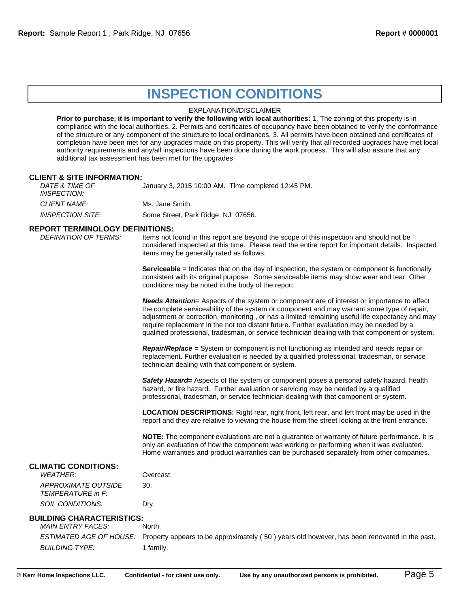# **INSPECTION CONDITIONS**

### EXPLANATION/DISCLAIMER

**Prior to purchase, it is important to verify the following with local authorities:** 1. The zoning of this property is in compliance with the local authorities. 2. Permits and certificates of occupancy have been obtained to verify the conformance of the structure or any component of the structure to local ordinances. 3. All permits have been obtained and certificates of completion have been met for any upgrades made on this property. This will verify that all recorded upgrades have met local authority requirements and any/all inspections have been done during the work process. This will also assure that any additional tax assessment has been met for the upgrades

### **CLIENT & SITE INFORMATION:**

*DATE & TIME OF INSPECTION:* January 3, 2015 10:00 AM. Time completed 12:45 PM. **CLIENT NAME:** Ms. Jane Smith. *INSPECTION SITE:* Some Street, Park Ridge NJ 07656.

# **REPORT TERMINOLOGY DEFINITIONS:**<br>*DEFINATION OF TERMS:* Items not f

Items not found in this report are beyond the scope of this inspection and should not be considered inspected at this time. Please read the entire report for important details. Inspected items may be generally rated as follows:

**Serviceable =** Indicates that on the day of inspection, the system or component is functionally consistent with its original purpose. Some serviceable items may show wear and tear. Other conditions may be noted in the body of the report.

*Needs Attention***=** Aspects of the system or component are of interest or importance to affect the complete serviceability of the system or component and may warrant some type of repair, adjustment or correction, monitoring , or has a limited remaining useful life expectancy and may require replacement in the not too distant future. Further evaluation may be needed by a qualified professional, tradesman, or service technician dealing with that component or system.

*Repair/Replace* **=** System or component is not functioning as intended and needs repair or replacement. Further evaluation is needed by a qualified professional, tradesman, or service technician dealing with that component or system.

*Safety Hazard***=** Aspects of the system or component poses a personal safety hazard, health hazard, or fire hazard. Further evaluation or servicing may be needed by a qualified professional, tradesman, or service technician dealing with that component or system.

**LOCATION DESCRIPTIONS:** Right rear, right front, left rear, and left front may be used in the report and they are relative to viewing the house from the street looking at the front entrance.

**NOTE:** The component evaluations are not a guarantee or warranty of future performance. It is only an evaluation of how the component was working or performing when it was evaluated. Home warranties and product warranties can be purchased separately from other companies.

### **CLIMATIC CONDITIONS:**

| <b>WFATHFR:</b>                                 | Overcast. |
|-------------------------------------------------|-----------|
| APPROXIMATE OUTSIDE<br><b>TFMPFRATURF</b> in F: | 30.       |
| SOIL CONDITIONS:                                | Drv.      |

### **BUILDING CHARACTERISTICS:**

*MAIN ENTRY FACES:* North.

*ESTIMATED AGE OF HOUSE:* Property appears to be approximately ( 50 ) years old however, has been renovated in the past. *BUILDING TYPE:* 1 family.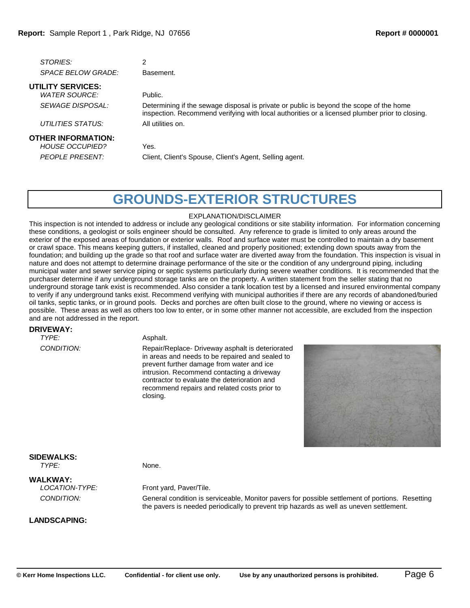| <i>STORIES:</i>           |           |
|---------------------------|-----------|
| <i>SPACE BELOW GRADE:</i> | Basement. |
|                           |           |

# **UTILITY SERVICES:** *WATER SOURCE:* Public.

*UTILITIES STATUS:* All utilities on.

#### **OTHER INFORMATION:**

*HOUSE OCCUPIED?* Yes.

*SEWAGE DISPOSAL:* Determining if the sewage disposal is private or public is beyond the scope of the home inspection. Recommend verifying with local authorities or a licensed plumber prior to closing.

*PEOPLE PRESENT:* Client, Client's Spouse, Client's Agent, Selling agent.

# **GROUNDS-EXTERIOR STRUCTURES**

### EXPLANATION/DISCLAIMER

This inspection is not intended to address or include any geological conditions or site stability information. For information concerning these conditions, a geologist or soils engineer should be consulted. Any reference to grade is limited to only areas around the exterior of the exposed areas of foundation or exterior walls. Roof and surface water must be controlled to maintain a dry basement or crawl space. This means keeping gutters, if installed, cleaned and properly positioned; extending down spouts away from the foundation; and building up the grade so that roof and surface water are diverted away from the foundation. This inspection is visual in nature and does not attempt to determine drainage performance of the site or the condition of any underground piping, including municipal water and sewer service piping or septic systems particularly during severe weather conditions. It is recommended that the purchaser determine if any underground storage tanks are on the property. A written statement from the seller stating that no underground storage tank exist is recommended. Also consider a tank location test by a licensed and insured environmental company to verify if any underground tanks exist. Recommend verifying with municipal authorities if there are any records of abandoned/buried oil tanks, septic tanks, or in ground pools. Decks and porches are often built close to the ground, where no viewing or access is possible. These areas as well as others too low to enter, or in some other manner not accessible, are excluded from the inspection and are not addressed in the report.

### **DRIVEWAY:**

*TYPE:* Asphalt.

*CONDITION:* Repair/Replace- Driveway asphalt is deteriorated in areas and needs to be repaired and sealed to prevent further damage from water and ice intrusion. Recommend contacting a driveway contractor to evaluate the deterioration and recommend repairs and related costs prior to closing.



#### **SIDEWALKS:** *TYPE:* None.

**WALKWAY:**

### *LOCATION-TYPE:* Front yard, Paver/Tile.

*CONDITION:* General condition is serviceable, Monitor pavers for possible settlement of portions. Resetting the pavers is needed periodically to prevent trip hazards as well as uneven settlement.

**LANDSCAPING:**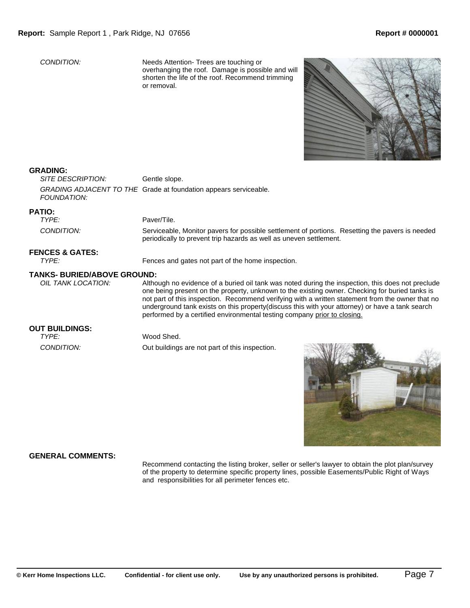*CONDITION:* Needs Attention- Trees are touching or overhanging the roof. Damage is possible and will shorten the life of the roof. Recommend trimming or removal.



### **GRADING:**

*SITE DESCRIPTION:* Gentle slope. *GRADING ADJACENT TO THE* Grade at foundation appears serviceable. *FOUNDATION:*

# **PATIO:**

Paver/Tile. *CONDITION:* Serviceable, Monitor pavers for possible settlement of portions. Resetting the pavers is needed periodically to prevent trip hazards as well as uneven settlement.

#### **FENCES & GATES:**

*TYPE:* Fences and gates not part of the home inspection.

#### **TANKS- BURIED/ABOVE GROUND:**

*OIL TANK LOCATION:* Although no evidence of a buried oil tank was noted during the inspection, this does not preclude one being present on the property, unknown to the existing owner. Checking for buried tanks is not part of this inspection. Recommend verifying with a written statement from the owner that no underground tank exists on this property(discuss this with your attorney) or have a tank search performed by a certified environmental testing company prior to closing.

#### **OUT BUILDINGS:**

#### *TYPE:* Wood Shed.

*CONDITION:* Out buildings are not part of this inspection.



### **GENERAL COMMENTS:**

Recommend contacting the listing broker, seller or seller's lawyer to obtain the plot plan/survey of the property to determine specific property lines, possible Easements/Public Right of Ways and responsibilities for all perimeter fences etc.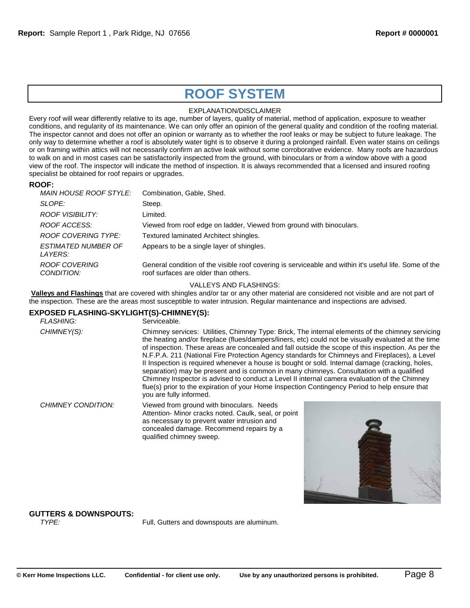# **ROOF SYSTEM**

### EXPLANATION/DISCLAIMER

Every roof will wear differently relative to its age, number of layers, quality of material, method of application, exposure to weather conditions, and regularity of its maintenance. We can only offer an opinion of the general quality and condition of the roofing material. The inspector cannot and does not offer an opinion or warranty as to whether the roof leaks or may be subject to future leakage. The only way to determine whether a roof is absolutely water tight is to observe it during a prolonged rainfall. Even water stains on ceilings or on framing within attics will not necessarily confirm an active leak without some corroborative evidence. Many roofs are hazardous to walk on and in most cases can be satisfactorily inspected from the ground, with binoculars or from a window above with a good view of the roof. The inspector will indicate the method of inspection. It is always recommended that a licensed and insured roofing specialist be obtained for roof repairs or upgrades.

### **ROOF:**

| MAIN HOUSE ROOF STYLE:                | Combination, Gable, Shed.                                                                                                                      |
|---------------------------------------|------------------------------------------------------------------------------------------------------------------------------------------------|
| SLOPE:                                | Steep.                                                                                                                                         |
| ROOF VISIBILITY:                      | Limited.                                                                                                                                       |
| ROOF ACCESS:                          | Viewed from roof edge on ladder, Viewed from ground with binoculars.                                                                           |
| ROOF COVERING TYPE:                   | Textured laminated Architect shingles.                                                                                                         |
| <b>ESTIMATED NUMBER OF</b><br>LAYERS: | Appears to be a single layer of shingles.                                                                                                      |
| ROOF COVERING<br>CONDITION:           | General condition of the visible roof covering is serviceable and within it's useful life. Some of the<br>roof surfaces are older than others. |
|                                       |                                                                                                                                                |

### VALLEYS AND FLASHINGS:

**Valleys and Flashings** that are covered with shingles and/or tar or any other material are considered not visible and are not part of the inspection. These are the areas most susceptible to water intrusion. Regular maintenance and inspections are advised.

## **EXPOSED FLASHING-SKYLIGHT(S)-CHIMNEY(S):**

| <b>FLASHING:</b>   | Serviceable.                                                                                                                                                                                                                                                                                                                                                                                                                                                                                                                                                                                                                                                                                                                                                                                                                                |  |
|--------------------|---------------------------------------------------------------------------------------------------------------------------------------------------------------------------------------------------------------------------------------------------------------------------------------------------------------------------------------------------------------------------------------------------------------------------------------------------------------------------------------------------------------------------------------------------------------------------------------------------------------------------------------------------------------------------------------------------------------------------------------------------------------------------------------------------------------------------------------------|--|
| CHIMNEY(S):        | Chimney services: Utilities, Chimney Type: Brick, The internal elements of the chimney servicing<br>the heating and/or fireplace (flues/dampers/liners, etc) could not be visually evaluated at the time<br>of inspection. These areas are concealed and fall outside the scope of this inspection. As per the<br>N.F.P.A. 211 (National Fire Protection Agency standards for Chimneys and Fireplaces), a Level<br>Il Inspection is required whenever a house is bought or sold. Internal damage (cracking, holes,<br>separation) may be present and is common in many chimneys. Consultation with a qualified<br>Chimney Inspector is advised to conduct a Level II internal camera evaluation of the Chimney<br>flue(s) prior to the expiration of your Home Inspection Contingency Period to help ensure that<br>you are fully informed. |  |
| CHIMNEY CONDITION: | Viewed from ground with binoculars. Needs<br>Attention- Minor cracks noted. Caulk, seal, or point<br>as necessary to prevent water intrusion and<br>concealed damage. Recommend repairs by a<br>qualified chimney sweep.                                                                                                                                                                                                                                                                                                                                                                                                                                                                                                                                                                                                                    |  |

# **GUTTERS & DOWNSPOUTS:**

Full, Gutters and downspouts are aluminum.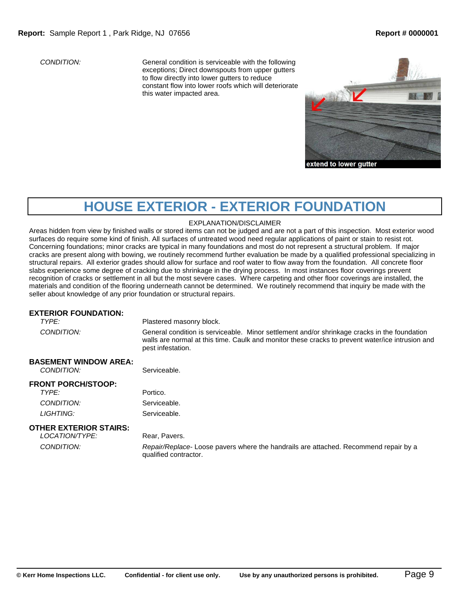*CONDITION:* General condition is serviceable with the following exceptions; Direct downspouts from upper gutters to flow directly into lower gutters to reduce constant flow into lower roofs which will deteriorate this water impacted area.



# **HOUSE EXTERIOR - EXTERIOR FOUNDATION**

### EXPLANATION/DISCLAIMER

Areas hidden from view by finished walls or stored items can not be judged and are not a part of this inspection. Most exterior wood surfaces do require some kind of finish. All surfaces of untreated wood need regular applications of paint or stain to resist rot. Concerning foundations; minor cracks are typical in many foundations and most do not represent a structural problem. If major cracks are present along with bowing, we routinely recommend further evaluation be made by a qualified professional specializing in structural repairs. All exterior grades should allow for surface and roof water to flow away from the foundation. All concrete floor slabs experience some degree of cracking due to shrinkage in the drying process. In most instances floor coverings prevent recognition of cracks or settlement in all but the most severe cases. Where carpeting and other floor coverings are installed, the materials and condition of the flooring underneath cannot be determined. We routinely recommend that inquiry be made with the seller about knowledge of any prior foundation or structural repairs.

### **EXTERIOR FOUNDATION:**

**TYPE:** Plastered masonry block.

*CONDITION:* General condition is serviceable. Minor settlement and/or shrinkage cracks in the foundation walls are normal at this time. Caulk and monitor these cracks to prevent water/ice intrusion and pest infestation.

## **BASEMENT WINDOW AREA:**

*CONDITION:* Serviceable.

# **FRONT PORCH/STOOP:**

*TYPE:* Portico. **CONDITION:** Serviceable. LIGHTING: Serviceable.

## **OTHER EXTERIOR STAIRS:**

*LOCATION/TYPE:* Rear, Pavers.

*CONDITION: Repair/Replace*- Loose pavers where the handrails are attached. Recommend repair by a qualified contractor.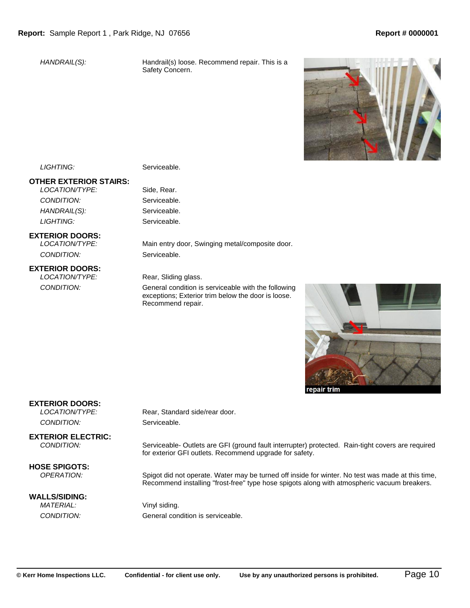*HANDRAIL(S):* Handrail(s) loose. Recommend repair. This is a Safety Concern.



LIGHTING: Serviceable.

# **OTHER EXTERIOR STAIRS:**

*LOCATION/TYPE:* Side, Rear. *CONDITION:* Serviceable. *HANDRAIL(S):* Serviceable. LIGHTING: Serviceable.

### **EXTERIOR DOORS:**

*CONDITION:* Serviceable.

### **EXTERIOR DOORS:**

*LOCATION/TYPE:* Main entry door, Swinging metal/composite door.

#### *LOCATION/TYPE:* Rear, Sliding glass.

*CONDITION:* General condition is serviceable with the following exceptions; Exterior trim below the door is loose. Recommend repair.



epair trim

## **EXTERIOR DOORS:**

**CONDITION:** Serviceable.

**EXTERIOR ELECTRIC:**<br>CONDITION:

**HOSE SPIGOTS:**<br>OPERATION:

#### **WALLS/SIDING:** *MATERIAL:* Vinyl siding.

*LOCATION/TYPE:* Rear, Standard side/rear door.

*CONDITION:* Serviceable- Outlets are GFI (ground fault interrupter) protected. Rain-tight covers are required for exterior GFI outlets. Recommend upgrade for safety.

Spigot did not operate. Water may be turned off inside for winter. No test was made at this time, Recommend installing "frost-free" type hose spigots along with atmospheric vacuum breakers.

*CONDITION:* General condition is serviceable.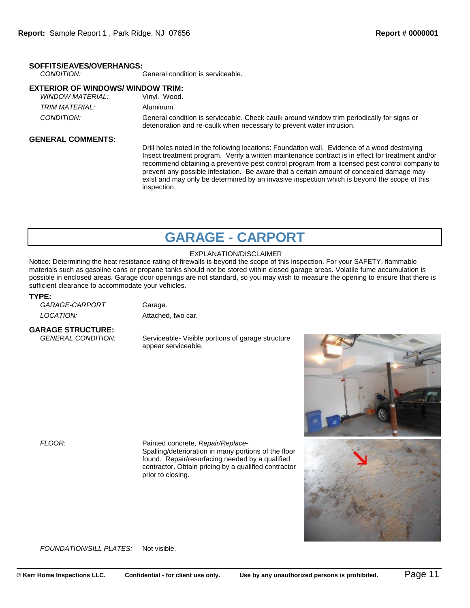# **SOFFITS/EAVES/OVERHANGS:**

*CONDITION:* General condition is serviceable.

# **EXTERIOR OF WINDOWS/ WINDOW TRIM:**

| WINDOW MATERIAL: | Vinvl. Wood.                                                                                                                                                        |
|------------------|---------------------------------------------------------------------------------------------------------------------------------------------------------------------|
| TRIM MATERIAL:   | Aluminum.                                                                                                                                                           |
| CONDITION:       | General condition is serviceable. Check caulk around window trim periodically for signs or<br>deterioration and re-caulk when necessary to prevent water intrusion. |

### **GENERAL COMMENTS:**

Drill holes noted in the following locations: Foundation wall. Evidence of a wood destroying Insect treatment program. Verify a written maintenance contract is in effect for treatment and/or recommend obtaining a preventive pest control program from a licensed pest control company to prevent any possible infestation. Be aware that a certain amount of concealed damage may exist and may only be determined by an invasive inspection which is beyond the scope of this inspection.

# **GARAGE - CARPORT**

## EXPLANATION/DISCLAIMER

Notice: Determining the heat resistance rating of firewalls is beyond the scope of this inspection. For your SAFETY, flammable materials such as gasoline cans or propane tanks should not be stored within closed garage areas. Volatile fume accumulation is possible in enclosed areas. Garage door openings are not standard, so you may wish to measure the opening to ensure that there is sufficient clearance to accommodate your vehicles.

#### **TYPE:**

GARAGE-CARPORT Garage. *LOCATION:* Attached, two car.

# **GARAGE STRUCTURE:**

**Serviceable- Visible portions of garage structure** appear serviceable.



# *FLOOR:* Painted concrete, *Repair/Replace-*

Spalling/deterioration in many portions of the floor found. Repair/resurfacing needed by a qualified contractor. Obtain pricing by a qualified contractor prior to closing.

*FOUNDATION/SILL PLATES:* Not visible.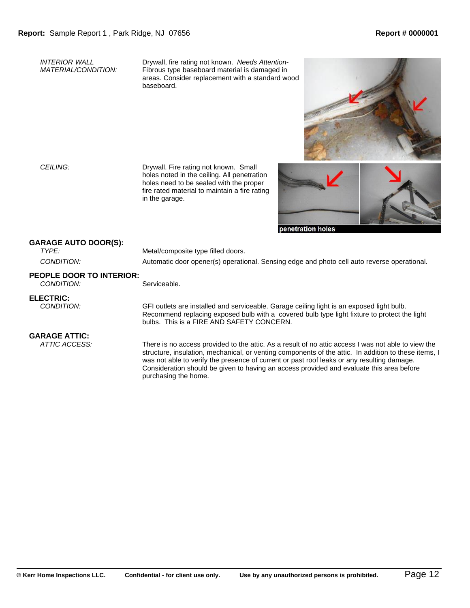*INTERIOR WALL MATERIAL/CONDITION:* Drywall, fire rating not known. *Needs Attention*-Fibrous type baseboard material is damaged in areas. Consider replacement with a standard wood baseboard.



CEILING: Drywall. Fire rating not known. Small holes noted in the ceiling. All penetration holes need to be sealed with the proper fire rated material to maintain a fire rating in the garage.



## **GARAGE AUTO DOOR(S):**

**TYPE:** Metal/composite type filled doors.

*CONDITION:* Automatic door opener(s) operational. Sensing edge and photo cell auto reverse operational.

#### **PEOPLE DOOR TO INTERIOR: CONDITION:** Serviceable.

**ELECTRIC:**<br>CONDITION:

*CONDITION:* GFI outlets are installed and serviceable. Garage ceiling light is an exposed light bulb. Recommend replacing exposed bulb with a covered bulb type light fixture to protect the light bulbs. This is a FIRE AND SAFETY CONCERN.

# **GARAGE ATTIC:**<br>ATTIC ACCESS:

There is no access provided to the attic. As a result of no attic access I was not able to view the structure, insulation, mechanical, or venting components of the attic. In addition to these items, I was not able to verify the presence of current or past roof leaks or any resulting damage. Consideration should be given to having an access provided and evaluate this area before purchasing the home.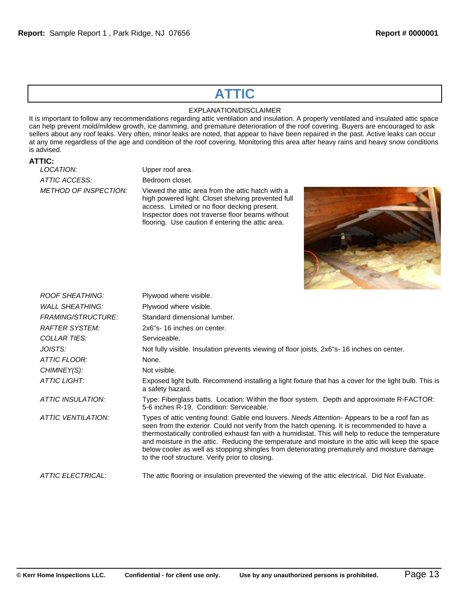# **ATTIC**

# EXPLANATION/DISCLAIMER

It is important to follow any recommendations regarding attic ventilation and insulation. A properly ventilated and insulated attic space can help prevent mold/mildew growth, ice damming, and premature deterioration of the roof covering. Buyers are encouraged to ask sellers about any roof leaks. Very often, minor leaks are noted, that appear to have been repaired in the past. Active leaks can occur at any time regardless of the age and condition of the roof covering. Monitoring this area after heavy rains and heavy snow conditions is advised.

**ATTIC: ATTIC ACCESS:** Bedroom closet.

*Upper roof area.* 

*METHOD OF INSPECTION:* Viewed the attic area from the attic hatch with a high powered light. Closet shelving prevented full access. Limited or no floor decking present. Inspector does not traverse floor beams without flooring. Use caution if entering the attic area.



| <b>ROOF SHEATHING:</b>    | Plywood where visible.                                                                                                                                                                                                                                                                                                                                                                                                                                                                                                                                      |
|---------------------------|-------------------------------------------------------------------------------------------------------------------------------------------------------------------------------------------------------------------------------------------------------------------------------------------------------------------------------------------------------------------------------------------------------------------------------------------------------------------------------------------------------------------------------------------------------------|
| <b>WALL SHEATHING:</b>    | Plywood where visible.                                                                                                                                                                                                                                                                                                                                                                                                                                                                                                                                      |
| <b>FRAMING/STRUCTURE:</b> | Standard dimensional lumber.                                                                                                                                                                                                                                                                                                                                                                                                                                                                                                                                |
| <b>RAFTER SYSTEM:</b>     | 2x6"s-16 inches on center.                                                                                                                                                                                                                                                                                                                                                                                                                                                                                                                                  |
| <b>COLLAR TIES:</b>       | Serviceable.                                                                                                                                                                                                                                                                                                                                                                                                                                                                                                                                                |
| JOISTS:                   | Not fully visible. Insulation prevents viewing of floor joists, 2x6"s-16 inches on center.                                                                                                                                                                                                                                                                                                                                                                                                                                                                  |
| ATTIC FLOOR:              | None.                                                                                                                                                                                                                                                                                                                                                                                                                                                                                                                                                       |
| CHIMNEY(S):               | Not visible.                                                                                                                                                                                                                                                                                                                                                                                                                                                                                                                                                |
| ATTIC LIGHT:              | Exposed light bulb. Recommend installing a light fixture that has a cover for the light bulb. This is<br>a safety hazard.                                                                                                                                                                                                                                                                                                                                                                                                                                   |
| ATTIC INSULATION:         | Type: Fiberglass batts. Location: Within the floor system. Depth and approximate R-FACTOR:<br>5-6 inches R-19. Condition: Serviceable.                                                                                                                                                                                                                                                                                                                                                                                                                      |
| <b>ATTIC VENTILATION:</b> | Types of attic venting found: Gable end louvers. Needs Attention-Appears to be a roof fan as<br>seen from the exterior. Could not verify from the hatch opening. It is recommended to have a<br>thermostatically controlled exhaust fan with a humidistat. This will help to reduce the temperature<br>and moisture in the attic. Reducing the temperature and moisture in the attic will keep the space<br>below cooler as well as stopping shingles from deteriorating prematurely and moisture damage<br>to the roof structure. Verify prior to closing. |
| <b>ATTIC ELECTRICAL:</b>  | The attic flooring or insulation prevented the viewing of the attic electrical. Did Not Evaluate.                                                                                                                                                                                                                                                                                                                                                                                                                                                           |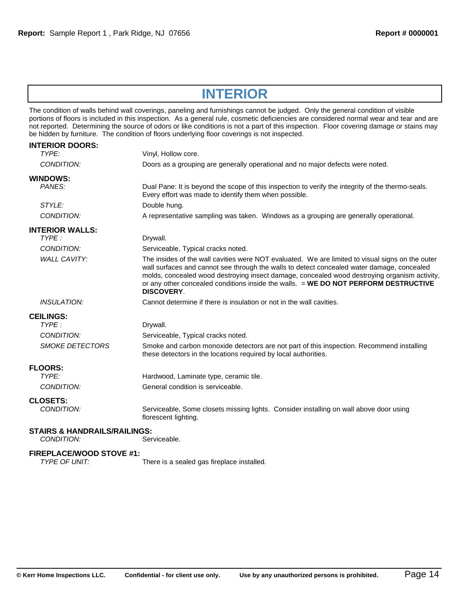# **INTERIOR**

The condition of walls behind wall coverings, paneling and furnishings cannot be judged. Only the general condition of visible portions of floors is included in this inspection. As a general rule, cosmetic deficiencies are considered normal wear and tear and are not reported. Determining the source of odors or like conditions is not a part of this inspection. Floor covering damage or stains may be hidden by furniture. The condition of floors underlying floor coverings is not inspected.

| <b>INTERIOR DOORS:</b><br>TYPE:                       | Vinyl, Hollow core.                                                                                                                                                                                                                                                                                                                                                                                        |
|-------------------------------------------------------|------------------------------------------------------------------------------------------------------------------------------------------------------------------------------------------------------------------------------------------------------------------------------------------------------------------------------------------------------------------------------------------------------------|
| CONDITION:                                            | Doors as a grouping are generally operational and no major defects were noted.                                                                                                                                                                                                                                                                                                                             |
| <b>WINDOWS:</b><br>PANES:                             | Dual Pane: It is beyond the scope of this inspection to verify the integrity of the thermo-seals.<br>Every effort was made to identify them when possible.                                                                                                                                                                                                                                                 |
| STYLE:                                                | Double hung.                                                                                                                                                                                                                                                                                                                                                                                               |
| CONDITION:                                            | A representative sampling was taken. Windows as a grouping are generally operational.                                                                                                                                                                                                                                                                                                                      |
| <b>INTERIOR WALLS:</b>                                |                                                                                                                                                                                                                                                                                                                                                                                                            |
| TYPF:                                                 | Drywall.                                                                                                                                                                                                                                                                                                                                                                                                   |
| CONDITION:                                            | Serviceable, Typical cracks noted.                                                                                                                                                                                                                                                                                                                                                                         |
| <b>WALL CAVITY:</b>                                   | The insides of the wall cavities were NOT evaluated. We are limited to visual signs on the outer<br>wall surfaces and cannot see through the walls to detect concealed water damage, concealed<br>molds, concealed wood destroying insect damage, concealed wood destroying organism activity,<br>or any other concealed conditions inside the walls. = WE DO NOT PERFORM DESTRUCTIVE<br><b>DISCOVERY.</b> |
| <b>INSULATION:</b>                                    | Cannot determine if there is insulation or not in the wall cavities.                                                                                                                                                                                                                                                                                                                                       |
| <b>CEILINGS:</b>                                      |                                                                                                                                                                                                                                                                                                                                                                                                            |
| TYPE:                                                 | Drywall.                                                                                                                                                                                                                                                                                                                                                                                                   |
| CONDITION:                                            | Serviceable, Typical cracks noted.                                                                                                                                                                                                                                                                                                                                                                         |
| <b>SMOKE DETECTORS</b>                                | Smoke and carbon monoxide detectors are not part of this inspection. Recommend installing<br>these detectors in the locations required by local authorities.                                                                                                                                                                                                                                               |
| <b>FLOORS:</b>                                        |                                                                                                                                                                                                                                                                                                                                                                                                            |
| TYPE:                                                 | Hardwood, Laminate type, ceramic tile.                                                                                                                                                                                                                                                                                                                                                                     |
| CONDITION:                                            | General condition is serviceable.                                                                                                                                                                                                                                                                                                                                                                          |
| <b>CLOSETS:</b>                                       |                                                                                                                                                                                                                                                                                                                                                                                                            |
| CONDITION:                                            | Serviceable, Some closets missing lights. Consider installing on wall above door using<br>florescent lighting.                                                                                                                                                                                                                                                                                             |
| <b>STAIRS &amp; HANDRAILS/RAILINGS:</b><br>CONDITION: | Serviceable.                                                                                                                                                                                                                                                                                                                                                                                               |
| <b>FIREPLACE/WOOD STOVE #1:</b>                       |                                                                                                                                                                                                                                                                                                                                                                                                            |

*TYPE OF UNIT:* There is a sealed gas fireplace installed.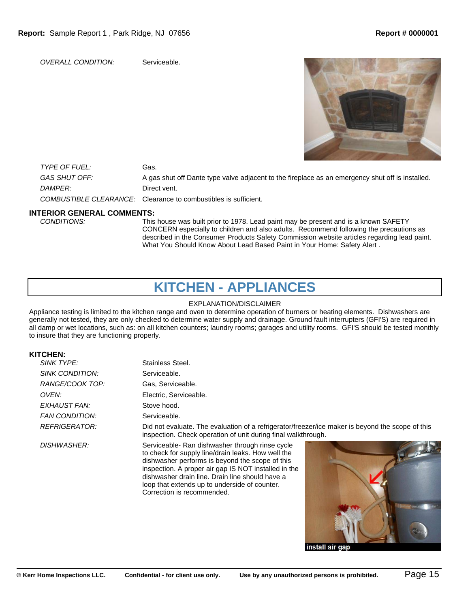*OVERALL CONDITION:* Serviceable.

*TYPE OF FUEL:* Gas. GAS SHUT OFF: A gas shut off Dante type valve adjacent to the fireplace as an emergency shut off is installed. *DAMPER:* Direct vent. *COMBUSTIBLE CLEARANCE:* Clearance to combustibles is sufficient.

# **INTERIOR GENERAL COMMENTS:**

This house was built prior to 1978. Lead paint may be present and is a known SAFETY CONCERN especially to children and also adults. Recommend following the precautions as described in the Consumer Products Safety Commission website articles regarding lead paint. What You Should Know About Lead Based Paint in Your Home: Safety Alert .

# **KITCHEN - APPLIANCES**

### EXPLANATION/DISCLAIMER

Appliance testing is limited to the kitchen range and oven to determine operation of burners or heating elements. Dishwashers are generally not tested, they are only checked to determine water supply and drainage. Ground fault interrupters (GFI'S) are required in all damp or wet locations, such as: on all kitchen counters; laundry rooms; garages and utility rooms. GFI'S should be tested monthly to insure that they are functioning properly.

# **KITCHEN:**

| <b>SINK TYPE:</b>     | Stainless Steel.                                                                                                                                                                                                                                                                                                                                   |
|-----------------------|----------------------------------------------------------------------------------------------------------------------------------------------------------------------------------------------------------------------------------------------------------------------------------------------------------------------------------------------------|
| SINK CONDITION:       | Serviceable.                                                                                                                                                                                                                                                                                                                                       |
| RANGE/COOK TOP:       | Gas. Serviceable.                                                                                                                                                                                                                                                                                                                                  |
| OVEN:                 | Electric, Serviceable.                                                                                                                                                                                                                                                                                                                             |
| EXHAUST FAN:          | Stove hood.                                                                                                                                                                                                                                                                                                                                        |
| <b>FAN CONDITION:</b> | Serviceable.                                                                                                                                                                                                                                                                                                                                       |
| REFRIGERATOR:         | Did not evaluate. The evaluation of a refrigerator/freezer/ice maker is beyond the scope of this<br>inspection. Check operation of unit during final walkthrough.                                                                                                                                                                                  |
| <b>DISHWASHER:</b>    | Serviceable- Ran dishwasher through rinse cycle<br>to check for supply line/drain leaks. How well the<br>dishwasher performs is beyond the scope of this<br>inspection. A proper air gap IS NOT installed in the<br>dishwasher drain line. Drain line should have a<br>loop that extends up to underside of counter.<br>Correction is recommended. |

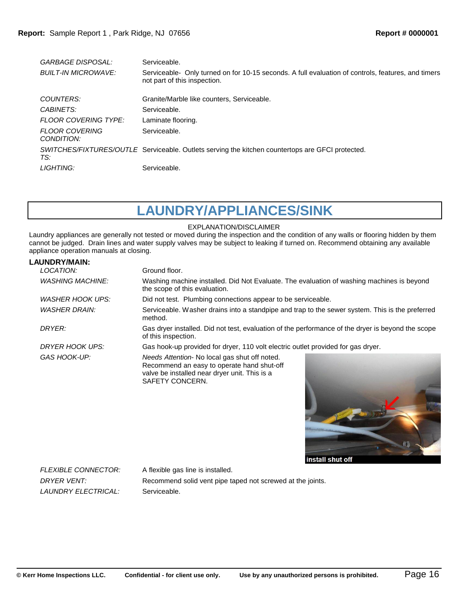| <b>GARBAGE DISPOSAL:</b>            | Serviceable.                                                                                                                       |
|-------------------------------------|------------------------------------------------------------------------------------------------------------------------------------|
| <b>BUILT-IN MICROWAVE:</b>          | Serviceable- Only turned on for 10-15 seconds. A full evaluation of controls, features, and timers<br>not part of this inspection. |
| COUNTERS:                           | Granite/Marble like counters. Serviceable.                                                                                         |
| CABINETS:                           | Serviceable.                                                                                                                       |
| <b>FLOOR COVERING TYPE:</b>         | Laminate flooring.                                                                                                                 |
| <b>FLOOR COVERING</b><br>CONDITION: | Serviceable.                                                                                                                       |
| TS:                                 | SWITCHES/FIXTURES/OUTLE Serviceable. Outlets serving the kitchen countertops are GFCI protected.                                   |
| LIGHTING:                           | Serviceable.                                                                                                                       |
|                                     |                                                                                                                                    |

**LAUNDRY/APPLIANCES/SINK**

### EXPLANATION/DISCLAIMER

Laundry appliances are generally not tested or moved during the inspection and the condition of any walls or flooring hidden by them cannot be judged. Drain lines and water supply valves may be subject to leaking if turned on. Recommend obtaining any available appliance operation manuals at closing.

### **LAUNDRY/MAIN:**

| LOCATION:               | Ground floor.                                                                                                                                                   |
|-------------------------|-----------------------------------------------------------------------------------------------------------------------------------------------------------------|
| <b>WASHING MACHINE:</b> | Washing machine installed. Did Not Evaluate. The evaluation of washing machines is beyond<br>the scope of this evaluation.                                      |
| WASHER HOOK UPS:        | Did not test. Plumbing connections appear to be serviceable.                                                                                                    |
| <b>WASHER DRAIN:</b>    | Serviceable. Washer drains into a standpipe and trap to the sewer system. This is the preferred<br>method.                                                      |
| DRYER:                  | Gas dryer installed. Did not test, evaluation of the performance of the dryer is beyond the scope<br>of this inspection.                                        |
| DRYER HOOK UPS:         | Gas hook-up provided for dryer, 110 volt electric outlet provided for gas dryer.                                                                                |
| GAS HOOK-UP:            | Needs Attention- No local gas shut off noted.<br>Recommend an easy to operate hand shut-off<br>valve be installed near dryer unit. This is a<br>SAFETY CONCERN. |



*FLEXIBLE CONNECTOR:* A flexible gas line is installed. *LAUNDRY ELECTRICAL:* Serviceable.

*DRYER VENT:* Recommend solid vent pipe taped not screwed at the joints.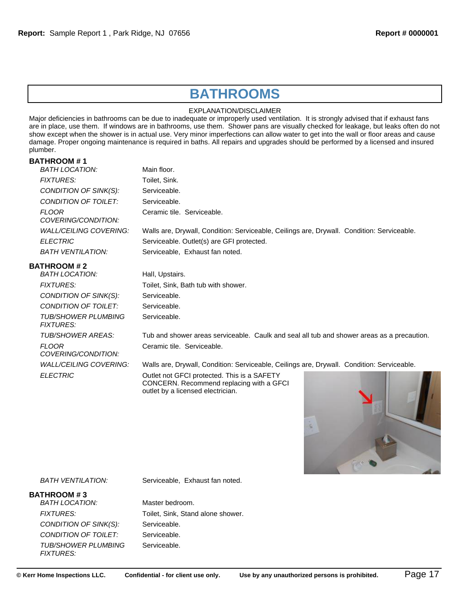# **BATHROOMS**

### EXPLANATION/DISCLAIMER

Major deficiencies in bathrooms can be due to inadequate or improperly used ventilation. It is strongly advised that if exhaust fans are in place, use them. If windows are in bathrooms, use them. Shower pans are visually checked for leakage, but leaks often do not show except when the shower is in actual use. Very minor imperfections can allow water to get into the wall or floor areas and cause damage. Proper ongoing maintenance is required in baths. All repairs and upgrades should be performed by a licensed and insured plumber.

## **BATHROOM # 1**

| <b>BATH LOCATION:</b>                   | Main floor.                                                                                                                  |
|-----------------------------------------|------------------------------------------------------------------------------------------------------------------------------|
| <b>FIXTURES:</b>                        | Toilet, Sink.                                                                                                                |
| CONDITION OF SINK(S):                   | Serviceable.                                                                                                                 |
| CONDITION OF TOILET:                    | Serviceable.                                                                                                                 |
| <b>FLOOR</b><br>COVERING/CONDITION:     | Ceramic tile. Serviceable.                                                                                                   |
| <i>WALL/CEILING COVERING:</i>           | Walls are, Drywall, Condition: Serviceable, Ceilings are, Drywall. Condition: Serviceable.                                   |
| <b>ELECTRIC</b>                         | Serviceable. Outlet(s) are GFI protected.                                                                                    |
| <b>BATH VENTILATION:</b>                | Serviceable, Exhaust fan noted.                                                                                              |
| <b>BATHROOM # 2</b><br>BATH LOCATION:   | Hall, Upstairs.                                                                                                              |
| <b>FIXTURES:</b>                        | Toilet, Sink, Bath tub with shower.                                                                                          |
| CONDITION OF SINK(S):                   | Serviceable.                                                                                                                 |
| CONDITION OF TOILET:                    | Serviceable.                                                                                                                 |
| TUB/SHOWER PLUMBING<br><b>FIXTURES:</b> | Serviceable.                                                                                                                 |
| TUB/SHOWER AREAS:                       | Tub and shower areas serviceable. Caulk and seal all tub and shower areas as a precaution.                                   |
| <b>FLOOR</b><br>COVERING/CONDITION:     | Ceramic tile. Serviceable.                                                                                                   |
| <i>WALL/CEILING COVERING:</i>           | Walls are, Drywall, Condition: Serviceable, Ceilings are, Drywall. Condition: Serviceable.                                   |
| <b>ELECTRIC</b>                         | Outlet not GFCI protected. This is a SAFETY<br>CONCERN. Recommend replacing with a GFCI<br>outlet by a licensed electrician. |



*BATH VENTILATION:* Serviceable, Exhaust fan noted.

### **BATHROOM # 3**

*BATH LOCATION:* Master bedroom. *CONDITION OF SINK(S):* Serviceable. **CONDITION OF TOILET:** Serviceable. *TUB/SHOWER PLUMBING FIXTURES:*

FIXTURES: Toilet, Sink, Stand alone shower. Serviceable.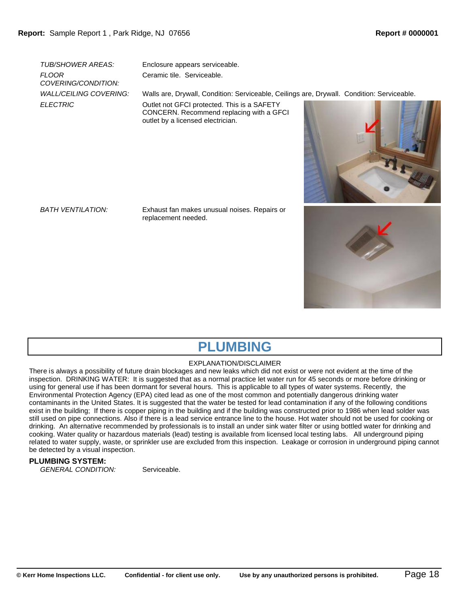*FLOOR COVERING/CONDITION:*

*TUB/SHOWER AREAS:* Enclosure appears serviceable. Ceramic tile. Serviceable.

*WALL/CEILING COVERING:* Walls are, Drywall, Condition: Serviceable, Ceilings are, Drywall. Condition: Serviceable.

**ELECTRIC COULD** Outlet not GFCI protected. This is a SAFETY CONCERN. Recommend replacing with a GFCI outlet by a licensed electrician.



*BATH VENTILATION:* Exhaust fan makes unusual noises. Repairs or replacement needed.





# **PLUMBING**

### EXPLANATION/DISCLAIMER

There is always a possibility of future drain blockages and new leaks which did not exist or were not evident at the time of the inspection. DRINKING WATER: It is suggested that as a normal practice let water run for 45 seconds or more before drinking or using for general use if has been dormant for several hours. This is applicable to all types of water systems. Recently, the Environmental Protection Agency (EPA) cited lead as one of the most common and potentially dangerous drinking water contaminants in the United States. It is suggested that the water be tested for lead contamination if any of the following conditions exist in the building; If there is copper piping in the building and if the building was constructed prior to 1986 when lead solder was still used on pipe connections. Also if there is a lead service entrance line to the house. Hot water should not be used for cooking or drinking. An alternative recommended by professionals is to install an under sink water filter or using bottled water for drinking and cooking. Water quality or hazardous materials (lead) testing is available from licensed local testing labs. All underground piping related to water supply, waste, or sprinkler use are excluded from this inspection. Leakage or corrosion in underground piping cannot be detected by a visual inspection.

## **PLUMBING SYSTEM:**

*GENERAL CONDITION:* Serviceable.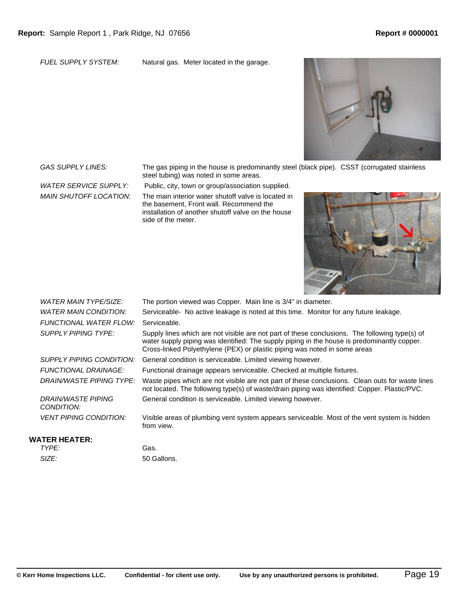*FUEL SUPPLY SYSTEM:* Natural gas. Meter located in the garage.



*GAS SUPPLY LINES:* The gas piping in the house is predominantly steel (black pipe). CSST (corrugated stainless steel tubing) was noted in some areas.

*MAIN SHUTOFF LOCATION:* The main interior water shutoff valve is located in

*WATER SERVICE SUPPLY:* Public, city, town or group/association supplied.

the basement, Front wall. Recommend the installation of another shutoff valve on the house side of the meter.



| <b>WATER MAIN TYPE/SIZE:</b>     | The portion viewed was Copper. Main line is 3/4" in diameter.                                                                                                                                                                                                              |
|----------------------------------|----------------------------------------------------------------------------------------------------------------------------------------------------------------------------------------------------------------------------------------------------------------------------|
| WATER MAIN CONDITION:            | Serviceable- No active leakage is noted at this time. Monitor for any future leakage.                                                                                                                                                                                      |
| FUNCTIONAL WATER FLOW:           | Serviceable.                                                                                                                                                                                                                                                               |
| SUPPLY PIPING TYPE:              | Supply lines which are not visible are not part of these conclusions. The following type(s) of<br>water supply piping was identified: The supply piping in the house is predominantly copper.<br>Cross-linked Polyethylene (PEX) or plastic piping was noted in some areas |
| SUPPLY PIPING CONDITION:         | General condition is serviceable. Limited viewing however.                                                                                                                                                                                                                 |
| <b>FUNCTIONAL DRAINAGE:</b>      | Functional drainage appears serviceable. Checked at multiple fixtures.                                                                                                                                                                                                     |
| DRAIN/WASTE PIPING TYPE:         | Waste pipes which are not visible are not part of these conclusions. Clean outs for waste lines<br>not located. The following type(s) of waste/drain piping was identified: Copper. Plastic/PVC.                                                                           |
| DRAIN/WASTE PIPING<br>CONDITION: | General condition is serviceable. Limited viewing however.                                                                                                                                                                                                                 |
| <b>VENT PIPING CONDITION:</b>    | Visible areas of plumbing vent system appears serviceable. Most of the vent system is hidden<br>from view.                                                                                                                                                                 |
|                                  |                                                                                                                                                                                                                                                                            |

# **WATER HEATER:**

| TYPE: |  |  |
|-------|--|--|
| SIZE: |  |  |

Gas. *SIZE:* 50 Gallons.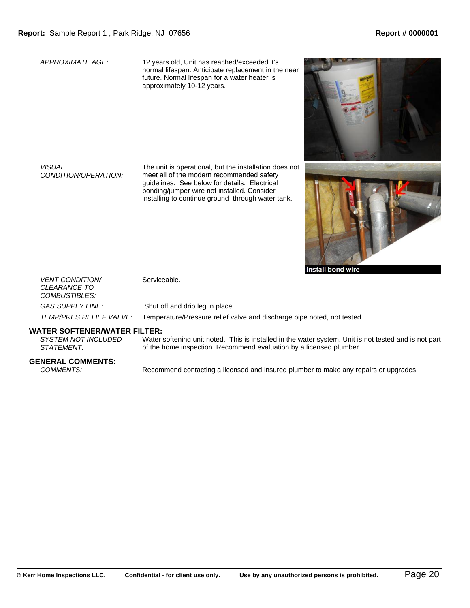*APPROXIMATE AGE:* 12 years old, Unit has reached/exceeded it's normal lifespan. Anticipate replacement in the near future. Normal lifespan for a water heater is approximately 10-12 years.

*VISUAL CONDITION/OPERATION:* The unit is operational, but the installation does not meet all of the modern recommended safety guidelines. See below for details. Electrical bonding/jumper wire not installed. Consider installing to continue ground through water tank.





install bond wire

| <b>VENT CONDITION/</b><br><i>CLEARANCE TO</i><br><i>COMBUSTIBLES:</i> | Serviceable.                                                            |
|-----------------------------------------------------------------------|-------------------------------------------------------------------------|
| GAS SUPPLY LINE:                                                      | Shut off and drip leg in place.                                         |
| <i>TEMP/PRES RELIEF VALVE:</i>                                        | Temperature/Pressure relief valve and discharge pipe noted, not tested. |

# **WATER SOFTENER/WATER FILTER:**

*SYSTEM NOT INCLUDED STATEMENT:* Water softening unit noted. This is installed in the water system. Unit is not tested and is not part of the home inspection. Recommend evaluation by a licensed plumber.

# **GENERAL COMMENTS:**

Recommend contacting a licensed and insured plumber to make any repairs or upgrades.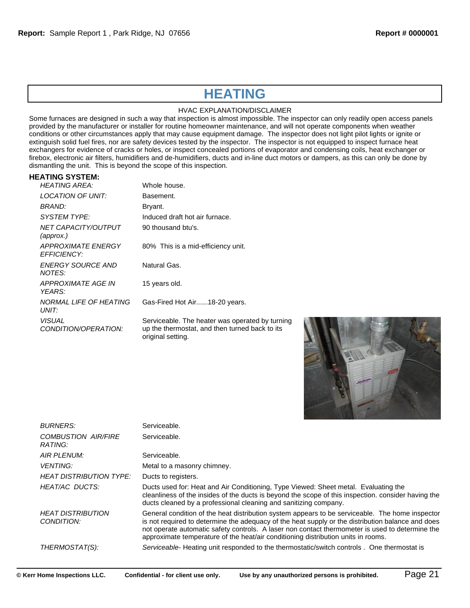# **HEATING**

## HVAC EXPLANATION/DISCLAIMER

Some furnaces are designed in such a way that inspection is almost impossible. The inspector can only readily open access panels provided by the manufacturer or installer for routine homeowner maintenance, and will not operate components when weather conditions or other circumstances apply that may cause equipment damage. The inspector does not light pilot lights or ignite or extinguish solid fuel fires, nor are safety devices tested by the inspector. The inspector is not equipped to inspect furnace heat exchangers for evidence of cracks or holes, or inspect concealed portions of evaporator and condensing coils, heat exchanger or firebox, electronic air filters, humidifiers and de-humidifiers, ducts and in-line duct motors or dampers, as this can only be done by dismantling the unit. This is beyond the scope of this inspection.

### **HEATING SYSTEM:**

| <b>HEATING AREA:</b>                         | Whole house.                                                                                                           |
|----------------------------------------------|------------------------------------------------------------------------------------------------------------------------|
| LOCATION OF UNIT:                            | Basement.                                                                                                              |
| BRAND:                                       | Bryant.                                                                                                                |
| SYSTEM TYPE:                                 | Induced draft hot air furnace.                                                                                         |
| NET CAPACITY/OUTPUT<br>(approx.)             | 90 thousand btu's.                                                                                                     |
| APPROXIMATE ENERGY<br><b>FFFICIFNCY:</b>     | 80% This is a mid-efficiency unit.                                                                                     |
| ENERGY SOURCE AND<br>NOTES:                  | Natural Gas.                                                                                                           |
| APPROXIMATE AGE IN<br>YFARS:                 | 15 years old.                                                                                                          |
| NORMAL LIFE OF HEATING<br>UNIT:              | Gas-Fired Hot Air18-20 years.                                                                                          |
| <i><b>VISUAL</b></i><br>CONDITION/OPERATION: | Serviceable. The heater was operated by turning<br>up the thermostat, and then turned back to its<br>original setting. |



| <b>BURNERS:</b>                        | Serviceable.                                                                                                                                                                                                                                                                                                                                                                                 |
|----------------------------------------|----------------------------------------------------------------------------------------------------------------------------------------------------------------------------------------------------------------------------------------------------------------------------------------------------------------------------------------------------------------------------------------------|
| <b>COMBUSTION AIR/FIRE</b><br>RATING:  | Serviceable.                                                                                                                                                                                                                                                                                                                                                                                 |
| AIR PLENUM:                            | Serviceable.                                                                                                                                                                                                                                                                                                                                                                                 |
| <i>VENTING:</i>                        | Metal to a masonry chimney.                                                                                                                                                                                                                                                                                                                                                                  |
| <b>HEAT DISTRIBUTION TYPE:</b>         | Ducts to registers.                                                                                                                                                                                                                                                                                                                                                                          |
| HEAT/AC DUCTS:                         | Ducts used for: Heat and Air Conditioning, Type Viewed: Sheet metal. Evaluating the<br>cleanliness of the insides of the ducts is beyond the scope of this inspection. consider having the<br>ducts cleaned by a professional cleaning and sanitizing company.                                                                                                                               |
| <b>HEAT DISTRIBUTION</b><br>CONDITION: | General condition of the heat distribution system appears to be serviceable. The home inspector<br>is not required to determine the adequacy of the heat supply or the distribution balance and does<br>not operate automatic safety controls. A laser non contact thermometer is used to determine the<br>approximate temperature of the heat/air conditioning distribution units in rooms. |
| THERMOSTAT(S):                         | Serviceable- Heating unit responded to the thermostatic/switch controls. One thermostat is                                                                                                                                                                                                                                                                                                   |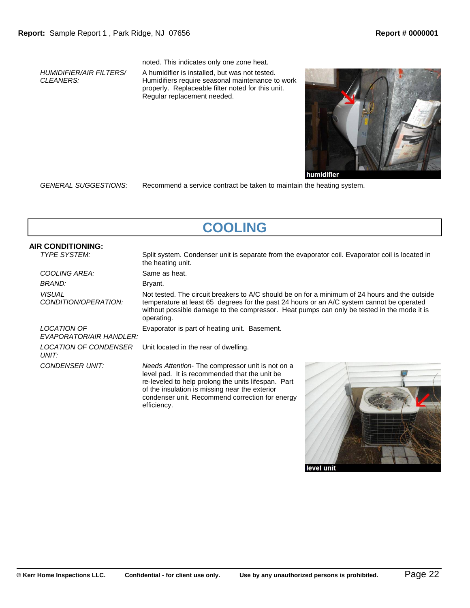*HUMIDIFIER/AIR FILTERS/ CLEANERS:*

noted. This indicates only one zone heat.

A humidifier is installed, but was not tested. Humidifiers require seasonal maintenance to work properly. Replaceable filter noted for this unit. Regular replacement needed.



*GENERAL SUGGESTIONS:* Recommend a service contract be taken to maintain the heating system.

| <b>COOLING</b>                           |                                                                                                                                                                                                                                                                                                         |  |
|------------------------------------------|---------------------------------------------------------------------------------------------------------------------------------------------------------------------------------------------------------------------------------------------------------------------------------------------------------|--|
| AIR CONDITIONING:<br><b>TYPE SYSTEM:</b> | Split system. Condenser unit is separate from the evaporator coil. Evaporator coil is located in<br>the heating unit.                                                                                                                                                                                   |  |
| COOLING AREA:                            | Same as heat.                                                                                                                                                                                                                                                                                           |  |
| BRAND:                                   | Bryant.                                                                                                                                                                                                                                                                                                 |  |
| <i>VISUAL</i><br>CONDITION/OPERATION:    | Not tested. The circuit breakers to A/C should be on for a minimum of 24 hours and the outside<br>temperature at least 65 degrees for the past 24 hours or an A/C system cannot be operated<br>without possible damage to the compressor. Heat pumps can only be tested in the mode it is<br>operating. |  |
| LOCATION OF<br>EVAPORATOR/AIR HANDLER:   | Evaporator is part of heating unit. Basement.                                                                                                                                                                                                                                                           |  |
| LOCATION OF CONDENSER<br>UNIT:           | Unit located in the rear of dwelling.                                                                                                                                                                                                                                                                   |  |
| CONDENSER UNIT:                          | Needs Attention-The compressor unit is not on a<br>level pad. It is recommended that the unit be<br>re-leveled to help prolong the units lifespan. Part<br>of the insulation is missing near the exterior<br>condenser unit. Recommend correction for energy<br>efficiency.                             |  |

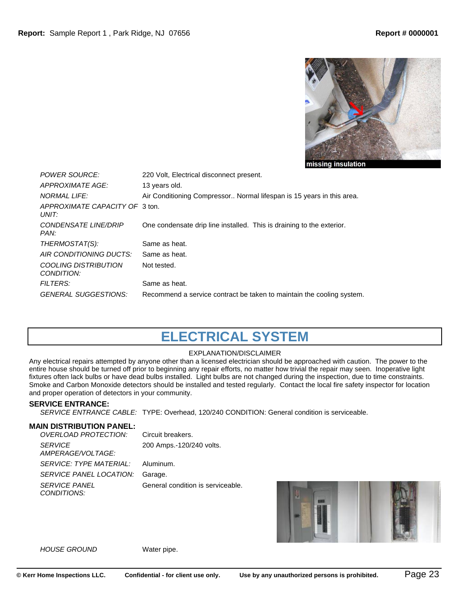

| <i>POWER SOURCE:</i><br>APPROXIMATE AGE:  | 220 Volt, Electrical disconnect present.<br>13 years old.             |
|-------------------------------------------|-----------------------------------------------------------------------|
| <b>NORMAL LIFE:</b>                       | Air Conditioning Compressor Normal lifespan is 15 years in this area. |
| APPROXIMATE CAPACITY OF 3 ton.<br>UNIT:   |                                                                       |
| CONDENSATE LINE/DRIP<br>PAN:              | One condensate drip line installed. This is draining to the exterior. |
| THERMOSTAT(S):                            | Same as heat.                                                         |
| AIR CONDITIONING DUCTS:                   | Same as heat.                                                         |
| <b>COOLING DISTRIBUTION</b><br>CONDITION: | Not tested.                                                           |
| <b>FILTERS:</b>                           | Same as heat.                                                         |
| <b>GENERAL SUGGESTIONS:</b>               | Recommend a service contract be taken to maintain the cooling system. |

# **ELECTRICAL SYSTEM**

# EXPLANATION/DISCLAIMER

Any electrical repairs attempted by anyone other than a licensed electrician should be approached with caution. The power to the entire house should be turned off prior to beginning any repair efforts, no matter how trivial the repair may seen. Inoperative light fixtures often lack bulbs or have dead bulbs installed. Light bulbs are not changed during the inspection, due to time constraints. Smoke and Carbon Monoxide detectors should be installed and tested regularly. Contact the local fire safety inspector for location and proper operation of detectors in your community.

### **SERVICE ENTRANCE:**

*SERVICE ENTRANCE CABLE:* TYPE: Overhead, 120/240 CONDITION: General condition is serviceable.

# **MAIN DISTRIBUTION PANEL:**

| OVERLOAD PROTECTION:                | Circuit breakers.                 |
|-------------------------------------|-----------------------------------|
| <b>SERVICE</b><br>AMPERAGE/VOLTAGE: | 200 Amps.-120/240 volts.          |
| <i>SERVICE: TYPE MATERIAL:</i>      | Aluminum.                         |
| SERVICE PANEL LOCATION:             | Garage.                           |
| <b>SERVICE PANEL</b><br>CONDITIONS: | General condition is serviceable. |



### *HOUSE GROUND* Water pipe.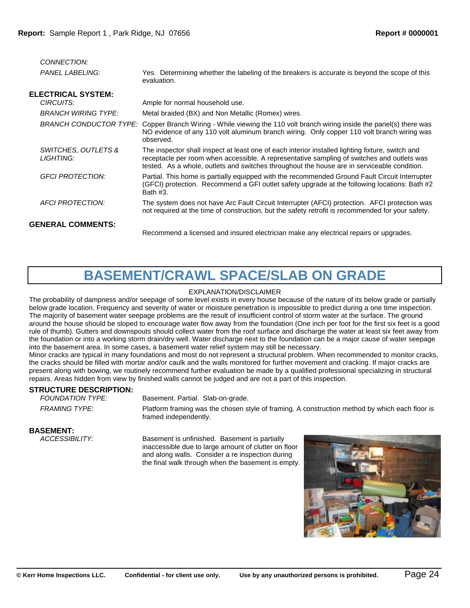| CONNECTION:                      |                                                                                                                                                                                                                                                                                               |
|----------------------------------|-----------------------------------------------------------------------------------------------------------------------------------------------------------------------------------------------------------------------------------------------------------------------------------------------|
| <b>PANEL LABELING:</b>           | Yes. Determining whether the labeling of the breakers is accurate is beyond the scope of this<br>evaluation.                                                                                                                                                                                  |
| <b>ELECTRICAL SYSTEM:</b>        |                                                                                                                                                                                                                                                                                               |
| CIRCUITS:                        | Ample for normal household use.                                                                                                                                                                                                                                                               |
| <b>BRANCH WIRING TYPE:</b>       | Metal braided (BX) and Non Metallic (Romex) wires.                                                                                                                                                                                                                                            |
| BRANCH CONDUCTOR TYPE:           | Copper Branch Wiring - While viewing the 110 volt branch wiring inside the panel(s) there was<br>NO evidence of any 110 volt aluminum branch wiring. Only copper 110 volt branch wiring was<br>observed.                                                                                      |
| SWITCHES, OUTLETS &<br>LIGHTING: | The inspector shall inspect at least one of each interior installed lighting fixture, switch and<br>receptacle per room when accessible. A representative sampling of switches and outlets was<br>tested. As a whole, outlets and switches throughout the house are in serviceable condition. |
| <b>GFCI PROTECTION:</b>          | Partial. This home is partially equipped with the recommended Ground Fault Circuit Interrupter<br>(GFCI) protection. Recommend a GFI outlet safety upgrade at the following locations: Bath #2<br>Bath #3.                                                                                    |
| <b>AFCI PROTECTION:</b>          | The system does not have Arc Fault Circuit Interrupter (AFCI) protection. AFCI protection was<br>not required at the time of construction, but the safety retrofit is recommended for your safety.                                                                                            |
| <b>GENERAL COMMENTS:</b>         |                                                                                                                                                                                                                                                                                               |
|                                  | Recommend a licensed and insured electrician make any electrical repairs or upgrades.                                                                                                                                                                                                         |
|                                  |                                                                                                                                                                                                                                                                                               |

# **BASEMENT/CRAWL SPACE/SLAB ON GRADE**

## EXPLANATION/DISCLAIMER

The probability of dampness and/or seepage of some level exists in every house because of the nature of its below grade or partially below grade location. Frequency and severity of water or moisture penetration is impossible to predict during a one time inspection. The majority of basement water seepage problems are the result of insufficient control of storm water at the surface. The ground around the house should be sloped to encourage water flow away from the foundation (One inch per foot for the first six feet is a good rule of thumb). Gutters and downspouts should collect water from the roof surface and discharge the water at least six feet away from the foundation or into a working storm drain/dry well. Water discharge next to the foundation can be a major cause of water seepage into the basement area. In some cases, a basement water relief system may still be necessary.

Minor cracks are typical in many foundations and most do not represent a structural problem. When recommended to monitor cracks, the cracks should be filled with mortar and/or caulk and the walls monitored for further movement and cracking. If major cracks are present along with bowing, we routinely recommend further evaluation be made by a qualified professional specializing in structural repairs. Areas hidden from view by finished walls cannot be judged and are not a part of this inspection.

# **STRUCTURE DESCRIPTION:**<br>FOUNDATION TYPE:

Basement. Partial. Slab-on-grade.

*FRAMING TYPE:* Platform framing was the chosen style of framing. A construction method by which each floor is framed independently.

**BASEMENT:**<br>*ACCESSIBILITY:* 

Basement is unfinished. Basement is partially inaccessible due to large amount of clutter on floor and along walls. Consider a re inspection during the final walk through when the basement is empty.